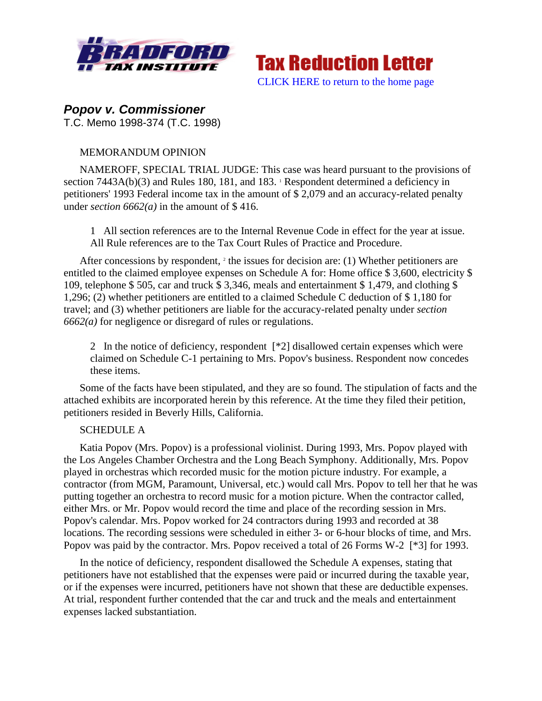



# *Popov v. Commissioner*

T.C. Memo 1998-374 (T.C. 1998)

# MEMORANDUM OPINION

NAMEROFF, SPECIAL TRIAL JUDGE: This case was heard pursuant to the provisions of section 7443A(b)(3) and Rules 180, 181, and 183. <sup>1</sup> Respondent determined a deficiency in petitioners' 1993 Federal income tax in the amount of \$ 2,079 and an accuracy-related penalty under *section*  $6662(a)$  in the amount of \$416.

1 All section references are to the Internal Revenue Code in effect for the year at issue. All Rule references are to the Tax Court Rules of Practice and Procedure.

After concessions by respondent,  $2$  the issues for decision are: (1) Whether petitioners are entitled to the claimed employee expenses on Schedule A for: Home office \$ 3,600, electricity \$ 109, telephone \$ 505, car and truck \$ 3,346, meals and entertainment \$ 1,479, and clothing \$ 1,296; (2) whether petitioners are entitled to a claimed Schedule C deduction of \$ 1,180 for travel; and (3) whether petitioners are liable for the accuracy-related penalty under *section 6662(a)* for negligence or disregard of rules or regulations.

2 In the notice of deficiency, respondent [\*2] disallowed certain expenses which were claimed on Schedule C-1 pertaining to Mrs. Popov's business. Respondent now concedes these items.

Some of the facts have been stipulated, and they are so found. The stipulation of facts and the attached exhibits are incorporated herein by this reference. At the time they filed their petition, petitioners resided in Beverly Hills, California.

# SCHEDULE A

Katia Popov (Mrs. Popov) is a professional violinist. During 1993, Mrs. Popov played with the Los Angeles Chamber Orchestra and the Long Beach Symphony. Additionally, Mrs. Popov played in orchestras which recorded music for the motion picture industry. For example, a contractor (from MGM, Paramount, Universal, etc.) would call Mrs. Popov to tell her that he was putting together an orchestra to record music for a motion picture. When the contractor called, either Mrs. or Mr. Popov would record the time and place of the recording session in Mrs. Popov's calendar. Mrs. Popov worked for 24 contractors during 1993 and recorded at 38 locations. The recording sessions were scheduled in either 3- or 6-hour blocks of time, and Mrs. Popov was paid by the contractor. Mrs. Popov received a total of 26 Forms W-2 [\*3] for 1993.

In the notice of deficiency, respondent disallowed the Schedule A expenses, stating that petitioners have not established that the expenses were paid or incurred during the taxable year, or if the expenses were incurred, petitioners have not shown that these are deductible expenses. At trial, respondent further contended that the car and truck and the meals and entertainment expenses lacked substantiation.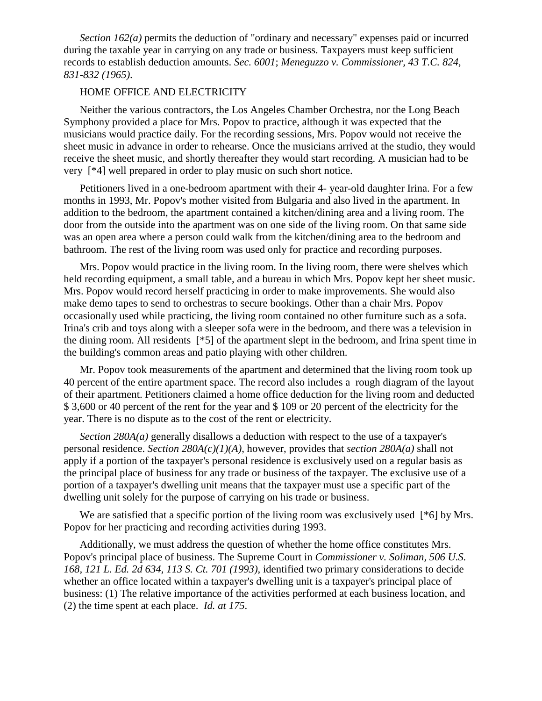*Section 162(a)* permits the deduction of "ordinary and necessary" expenses paid or incurred during the taxable year in carrying on any trade or business. Taxpayers must keep sufficient records to establish deduction amounts. *Sec. 6001*; *Meneguzzo v. Commissioner, 43 T.C. 824, 831-832 (1965)*.

#### HOME OFFICE AND ELECTRICITY

Neither the various contractors, the Los Angeles Chamber Orchestra, nor the Long Beach Symphony provided a place for Mrs. Popov to practice, although it was expected that the musicians would practice daily. For the recording sessions, Mrs. Popov would not receive the sheet music in advance in order to rehearse. Once the musicians arrived at the studio, they would receive the sheet music, and shortly thereafter they would start recording. A musician had to be very [\*4] well prepared in order to play music on such short notice.

Petitioners lived in a one-bedroom apartment with their 4- year-old daughter Irina. For a few months in 1993, Mr. Popov's mother visited from Bulgaria and also lived in the apartment. In addition to the bedroom, the apartment contained a kitchen/dining area and a living room. The door from the outside into the apartment was on one side of the living room. On that same side was an open area where a person could walk from the kitchen/dining area to the bedroom and bathroom. The rest of the living room was used only for practice and recording purposes.

Mrs. Popov would practice in the living room. In the living room, there were shelves which held recording equipment, a small table, and a bureau in which Mrs. Popov kept her sheet music. Mrs. Popov would record herself practicing in order to make improvements. She would also make demo tapes to send to orchestras to secure bookings. Other than a chair Mrs. Popov occasionally used while practicing, the living room contained no other furniture such as a sofa. Irina's crib and toys along with a sleeper sofa were in the bedroom, and there was a television in the dining room. All residents [\*5] of the apartment slept in the bedroom, and Irina spent time in the building's common areas and patio playing with other children.

Mr. Popov took measurements of the apartment and determined that the living room took up 40 percent of the entire apartment space. The record also includes a rough diagram of the layout of their apartment. Petitioners claimed a home office deduction for the living room and deducted \$ 3,600 or 40 percent of the rent for the year and \$ 109 or 20 percent of the electricity for the year. There is no dispute as to the cost of the rent or electricity.

*Section 280A(a)* generally disallows a deduction with respect to the use of a taxpayer's personal residence. *Section 280A(c)(1)(A)*, however, provides that *section 280A(a)* shall not apply if a portion of the taxpayer's personal residence is exclusively used on a regular basis as the principal place of business for any trade or business of the taxpayer. The exclusive use of a portion of a taxpayer's dwelling unit means that the taxpayer must use a specific part of the dwelling unit solely for the purpose of carrying on his trade or business.

We are satisfied that a specific portion of the living room was exclusively used [ $*$ 6] by Mrs. Popov for her practicing and recording activities during 1993.

Additionally, we must address the question of whether the home office constitutes Mrs. Popov's principal place of business. The Supreme Court in *Commissioner v. Soliman, 506 U.S. 168, 121 L. Ed. 2d 634, 113 S. Ct. 701 (1993)*, identified two primary considerations to decide whether an office located within a taxpayer's dwelling unit is a taxpayer's principal place of business: (1) The relative importance of the activities performed at each business location, and (2) the time spent at each place. *Id. at 175*.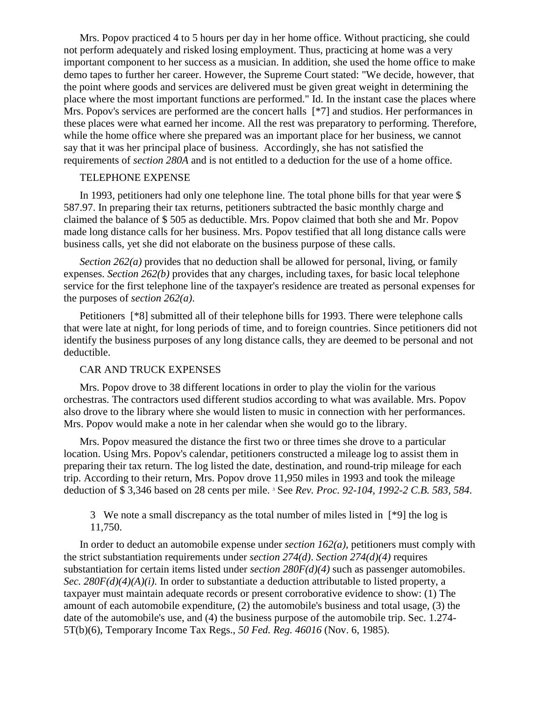Mrs. Popov practiced 4 to 5 hours per day in her home office. Without practicing, she could not perform adequately and risked losing employment. Thus, practicing at home was a very important component to her success as a musician. In addition, she used the home office to make demo tapes to further her career. However, the Supreme Court stated: "We decide, however, that the point where goods and services are delivered must be given great weight in determining the place where the most important functions are performed." Id. In the instant case the places where Mrs. Popov's services are performed are the concert halls [\*7] and studios. Her performances in these places were what earned her income. All the rest was preparatory to performing. Therefore, while the home office where she prepared was an important place for her business, we cannot say that it was her principal place of business. Accordingly, she has not satisfied the requirements of *section 280A* and is not entitled to a deduction for the use of a home office.

## TELEPHONE EXPENSE

In 1993, petitioners had only one telephone line. The total phone bills for that year were \$ 587.97. In preparing their tax returns, petitioners subtracted the basic monthly charge and claimed the balance of \$ 505 as deductible. Mrs. Popov claimed that both she and Mr. Popov made long distance calls for her business. Mrs. Popov testified that all long distance calls were business calls, yet she did not elaborate on the business purpose of these calls.

*Section 262(a)* provides that no deduction shall be allowed for personal, living, or family expenses. *Section 262(b)* provides that any charges, including taxes, for basic local telephone service for the first telephone line of the taxpayer's residence are treated as personal expenses for the purposes of *section 262(a)*.

Petitioners [\*8] submitted all of their telephone bills for 1993. There were telephone calls that were late at night, for long periods of time, and to foreign countries. Since petitioners did not identify the business purposes of any long distance calls, they are deemed to be personal and not deductible.

## CAR AND TRUCK EXPENSES

Mrs. Popov drove to 38 different locations in order to play the violin for the various orchestras. The contractors used different studios according to what was available. Mrs. Popov also drove to the library where she would listen to music in connection with her performances. Mrs. Popov would make a note in her calendar when she would go to the library.

Mrs. Popov measured the distance the first two or three times she drove to a particular location. Using Mrs. Popov's calendar, petitioners constructed a mileage log to assist them in preparing their tax return. The log listed the date, destination, and round-trip mileage for each trip. According to their return, Mrs. Popov drove 11,950 miles in 1993 and took the mileage deduction of \$ 3,346 based on 28 cents per mile. <sup>3</sup> See *Rev. Proc. 92-104, 1992-2 C.B. 583, 584*.

3 We note a small discrepancy as the total number of miles listed in [\*9] the log is 11,750.

In order to deduct an automobile expense under *section 162(a)*, petitioners must comply with the strict substantiation requirements under *section 274(d)*. *Section 274(d)(4)* requires substantiation for certain items listed under *section 280F(d)(4)* such as passenger automobiles. *Sec. 280F(d)(4)(A)(i)*. In order to substantiate a deduction attributable to listed property, a taxpayer must maintain adequate records or present corroborative evidence to show: (1) The amount of each automobile expenditure, (2) the automobile's business and total usage, (3) the date of the automobile's use, and (4) the business purpose of the automobile trip. Sec. 1.274- 5T(b)(6), Temporary Income Tax Regs., *50 Fed. Reg. 46016* (Nov. 6, 1985).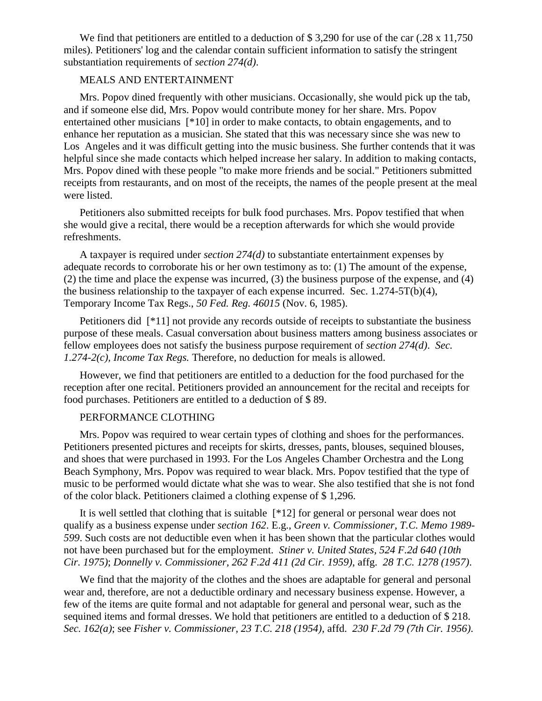We find that petitioners are entitled to a deduction of \$3,290 for use of the car (.28 x 11,750) miles). Petitioners' log and the calendar contain sufficient information to satisfy the stringent substantiation requirements of *section 274(d)*.

## MEALS AND ENTERTAINMENT

Mrs. Popov dined frequently with other musicians. Occasionally, she would pick up the tab, and if someone else did, Mrs. Popov would contribute money for her share. Mrs. Popov entertained other musicians [\*10] in order to make contacts, to obtain engagements, and to enhance her reputation as a musician. She stated that this was necessary since she was new to Los Angeles and it was difficult getting into the music business. She further contends that it was helpful since she made contacts which helped increase her salary. In addition to making contacts, Mrs. Popov dined with these people "to make more friends and be social." Petitioners submitted receipts from restaurants, and on most of the receipts, the names of the people present at the meal were listed.

Petitioners also submitted receipts for bulk food purchases. Mrs. Popov testified that when she would give a recital, there would be a reception afterwards for which she would provide refreshments.

A taxpayer is required under *section 274(d)* to substantiate entertainment expenses by adequate records to corroborate his or her own testimony as to: (1) The amount of the expense, (2) the time and place the expense was incurred, (3) the business purpose of the expense, and (4) the business relationship to the taxpayer of each expense incurred. Sec. 1.274-5T(b)(4), Temporary Income Tax Regs., *50 Fed. Reg. 46015* (Nov. 6, 1985).

Petitioners did [\*11] not provide any records outside of receipts to substantiate the business purpose of these meals. Casual conversation about business matters among business associates or fellow employees does not satisfy the business purpose requirement of *section 274(d)*. *Sec. 1.274-2(c), Income Tax Regs.* Therefore, no deduction for meals is allowed.

However, we find that petitioners are entitled to a deduction for the food purchased for the reception after one recital. Petitioners provided an announcement for the recital and receipts for food purchases. Petitioners are entitled to a deduction of \$ 89.

#### PERFORMANCE CLOTHING

Mrs. Popov was required to wear certain types of clothing and shoes for the performances. Petitioners presented pictures and receipts for skirts, dresses, pants, blouses, sequined blouses, and shoes that were purchased in 1993. For the Los Angeles Chamber Orchestra and the Long Beach Symphony, Mrs. Popov was required to wear black. Mrs. Popov testified that the type of music to be performed would dictate what she was to wear. She also testified that she is not fond of the color black. Petitioners claimed a clothing expense of \$ 1,296.

It is well settled that clothing that is suitable [\*12] for general or personal wear does not qualify as a business expense under *section 162*. E.g., *Green v. Commissioner, T.C. Memo 1989- 599*. Such costs are not deductible even when it has been shown that the particular clothes would not have been purchased but for the employment. *Stiner v. United States, 524 F.2d 640 (10th Cir. 1975)*; *Donnelly v. Commissioner, 262 F.2d 411 (2d Cir. 1959)*, affg. *28 T.C. 1278 (1957)*.

We find that the majority of the clothes and the shoes are adaptable for general and personal wear and, therefore, are not a deductible ordinary and necessary business expense. However, a few of the items are quite formal and not adaptable for general and personal wear, such as the sequined items and formal dresses. We hold that petitioners are entitled to a deduction of \$ 218. *Sec. 162(a)*; see *Fisher v. Commissioner, 23 T.C. 218 (1954)*, affd. *230 F.2d 79 (7th Cir. 1956)*.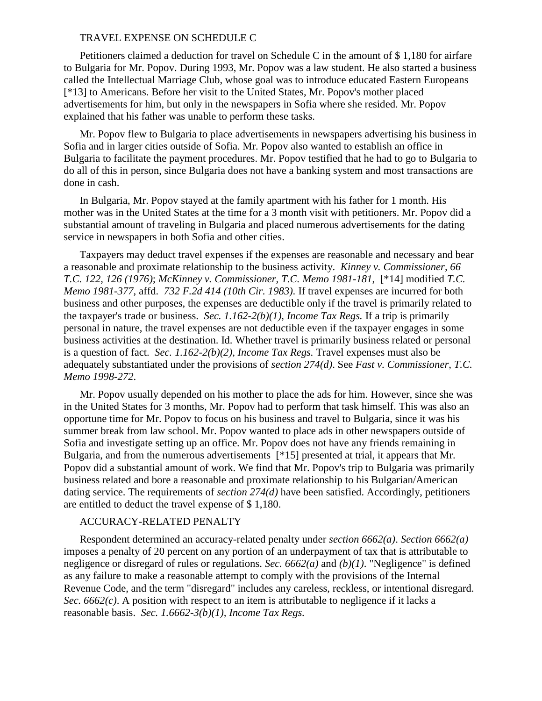### TRAVEL EXPENSE ON SCHEDULE C

Petitioners claimed a deduction for travel on Schedule C in the amount of \$ 1,180 for airfare to Bulgaria for Mr. Popov. During 1993, Mr. Popov was a law student. He also started a business called the Intellectual Marriage Club, whose goal was to introduce educated Eastern Europeans [\*13] to Americans. Before her visit to the United States, Mr. Popov's mother placed advertisements for him, but only in the newspapers in Sofia where she resided. Mr. Popov explained that his father was unable to perform these tasks.

Mr. Popov flew to Bulgaria to place advertisements in newspapers advertising his business in Sofia and in larger cities outside of Sofia. Mr. Popov also wanted to establish an office in Bulgaria to facilitate the payment procedures. Mr. Popov testified that he had to go to Bulgaria to do all of this in person, since Bulgaria does not have a banking system and most transactions are done in cash.

In Bulgaria, Mr. Popov stayed at the family apartment with his father for 1 month. His mother was in the United States at the time for a 3 month visit with petitioners. Mr. Popov did a substantial amount of traveling in Bulgaria and placed numerous advertisements for the dating service in newspapers in both Sofia and other cities.

Taxpayers may deduct travel expenses if the expenses are reasonable and necessary and bear a reasonable and proximate relationship to the business activity. *Kinney v. Commissioner, 66 T.C. 122, 126 (1976)*; *McKinney v. Commissioner, T.C. Memo 1981-181*, [\*14] modified *T.C. Memo 1981-377*, affd. *732 F.2d 414 (10th Cir. 1983)*. If travel expenses are incurred for both business and other purposes, the expenses are deductible only if the travel is primarily related to the taxpayer's trade or business. *Sec. 1.162-2(b)(1), Income Tax Regs.* If a trip is primarily personal in nature, the travel expenses are not deductible even if the taxpayer engages in some business activities at the destination. Id. Whether travel is primarily business related or personal is a question of fact. *Sec. 1.162-2(b)(2), Income Tax Regs.* Travel expenses must also be adequately substantiated under the provisions of *section 274(d)*. See *Fast v. Commissioner, T.C. Memo 1998-272*.

Mr. Popov usually depended on his mother to place the ads for him. However, since she was in the United States for 3 months, Mr. Popov had to perform that task himself. This was also an opportune time for Mr. Popov to focus on his business and travel to Bulgaria, since it was his summer break from law school. Mr. Popov wanted to place ads in other newspapers outside of Sofia and investigate setting up an office. Mr. Popov does not have any friends remaining in Bulgaria, and from the numerous advertisements [\*15] presented at trial, it appears that Mr. Popov did a substantial amount of work. We find that Mr. Popov's trip to Bulgaria was primarily business related and bore a reasonable and proximate relationship to his Bulgarian/American dating service. The requirements of *section 274(d)* have been satisfied. Accordingly, petitioners are entitled to deduct the travel expense of \$ 1,180.

#### ACCURACY-RELATED PENALTY

Respondent determined an accuracy-related penalty under *section 6662(a)*. *Section 6662(a)* imposes a penalty of 20 percent on any portion of an underpayment of tax that is attributable to negligence or disregard of rules or regulations. *Sec. 6662(a)* and *(b)(1)*. "Negligence" is defined as any failure to make a reasonable attempt to comply with the provisions of the Internal Revenue Code, and the term "disregard" includes any careless, reckless, or intentional disregard. *Sec. 6662(c)*. A position with respect to an item is attributable to negligence if it lacks a reasonable basis. *Sec. 1.6662-3(b)(1), Income Tax Regs.*